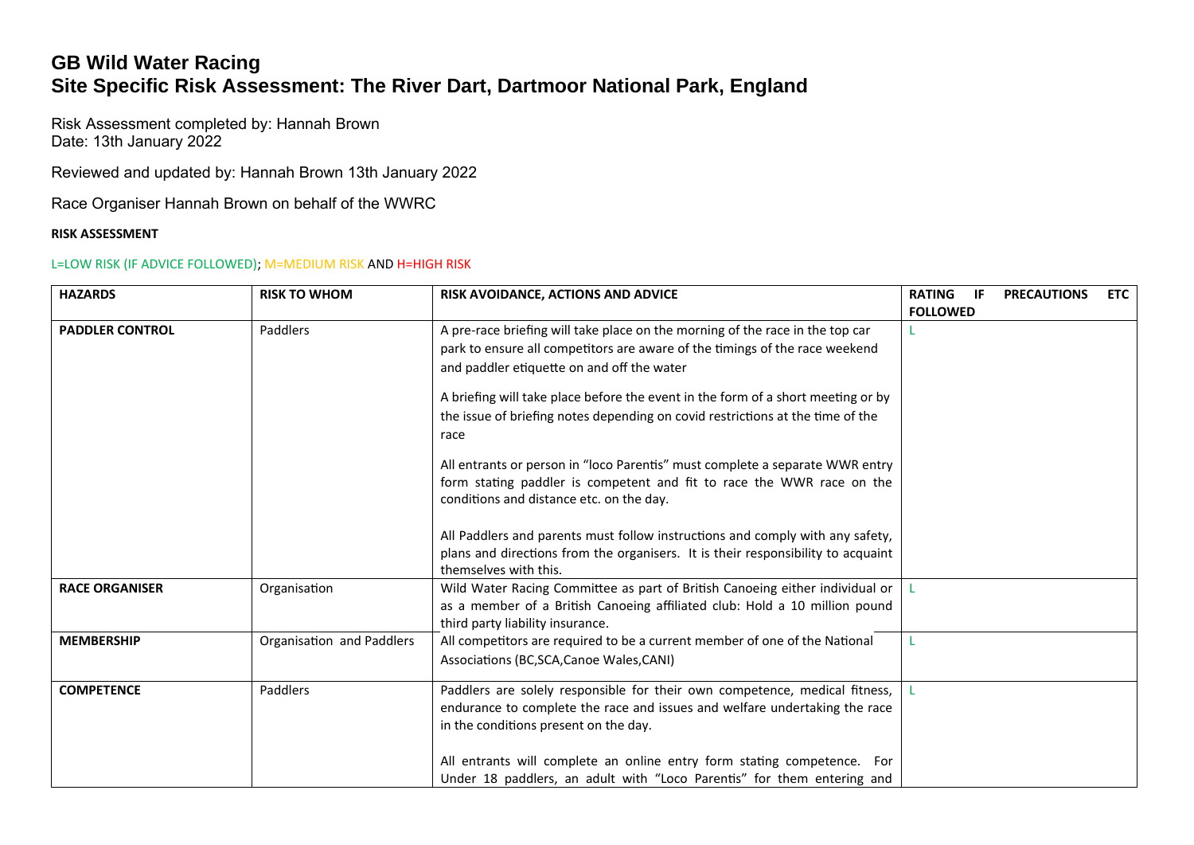## **GB Wild Water Racing Site Specific Risk Assessment: The River Dart, Dartmoor National Park, England**

Risk Assessment completed by: Hannah Brown Date: 13th January 2022

Reviewed and updated by: Hannah Brown 13th January 2022

Race Organiser Hannah Brown on behalf of the WWRC

## **RISK ASSESSMENT**

## L=LOW RISK (IF ADVICE FOLLOWED); M=MEDIUM RISK AND H=HIGH RISK

| <b>HAZARDS</b>         | <b>RISK TO WHOM</b>       | RISK AVOIDANCE, ACTIONS AND ADVICE                                                                                                                                                                         | <b>RATING</b><br>-IF<br><b>FOLLOWED</b> | <b>PRECAUTIONS</b> | <b>ETC</b> |
|------------------------|---------------------------|------------------------------------------------------------------------------------------------------------------------------------------------------------------------------------------------------------|-----------------------------------------|--------------------|------------|
| <b>PADDLER CONTROL</b> | Paddlers                  | A pre-race briefing will take place on the morning of the race in the top car<br>park to ensure all competitors are aware of the timings of the race weekend<br>and paddler etiquette on and off the water |                                         |                    |            |
|                        |                           | A briefing will take place before the event in the form of a short meeting or by<br>the issue of briefing notes depending on covid restrictions at the time of the<br>race                                 |                                         |                    |            |
|                        |                           | All entrants or person in "loco Parentis" must complete a separate WWR entry<br>form stating paddler is competent and fit to race the WWR race on the<br>conditions and distance etc. on the day.          |                                         |                    |            |
|                        |                           | All Paddlers and parents must follow instructions and comply with any safety,<br>plans and directions from the organisers. It is their responsibility to acquaint<br>themselves with this.                 |                                         |                    |            |
| <b>RACE ORGANISER</b>  | Organisation              | Wild Water Racing Committee as part of British Canoeing either individual or<br>as a member of a British Canoeing affiliated club: Hold a 10 million pound<br>third party liability insurance.             |                                         |                    |            |
| <b>MEMBERSHIP</b>      | Organisation and Paddlers | All competitors are required to be a current member of one of the National<br>Associations (BC, SCA, Canoe Wales, CANI)                                                                                    |                                         |                    |            |
| <b>COMPETENCE</b>      | Paddlers                  | Paddlers are solely responsible for their own competence, medical fitness,<br>endurance to complete the race and issues and welfare undertaking the race<br>in the conditions present on the day.          |                                         |                    |            |
|                        |                           | All entrants will complete an online entry form stating competence. For<br>Under 18 paddlers, an adult with "Loco Parentis" for them entering and                                                          |                                         |                    |            |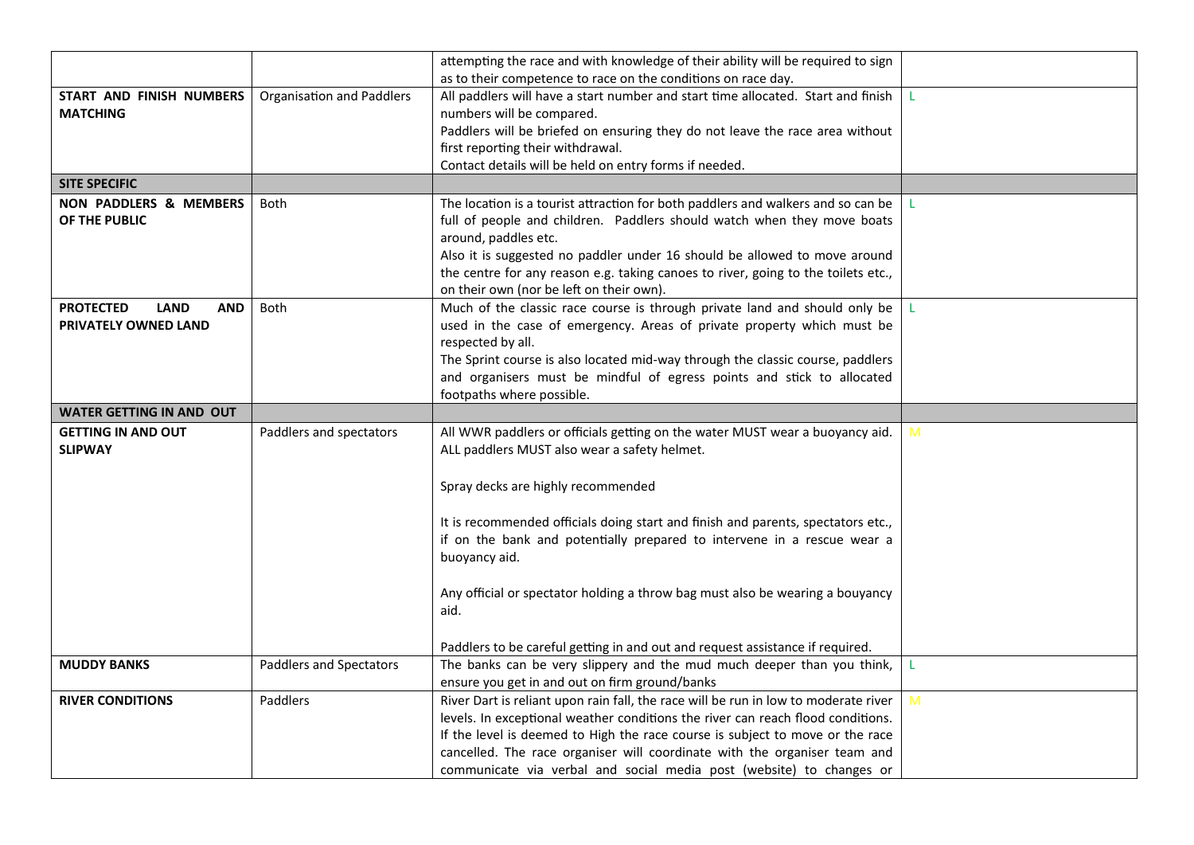|                                               |                                  | attempting the race and with knowledge of their ability will be required to sign                                                                  |   |
|-----------------------------------------------|----------------------------------|---------------------------------------------------------------------------------------------------------------------------------------------------|---|
| START AND FINISH NUMBERS                      | <b>Organisation and Paddlers</b> | as to their competence to race on the conditions on race day.<br>All paddlers will have a start number and start time allocated. Start and finish |   |
| <b>MATCHING</b>                               |                                  | numbers will be compared.                                                                                                                         |   |
|                                               |                                  | Paddlers will be briefed on ensuring they do not leave the race area without                                                                      |   |
|                                               |                                  | first reporting their withdrawal.                                                                                                                 |   |
|                                               |                                  | Contact details will be held on entry forms if needed.                                                                                            |   |
| <b>SITE SPECIFIC</b>                          |                                  |                                                                                                                                                   |   |
| <b>NON PADDLERS &amp; MEMBERS</b>             | <b>Both</b>                      | The location is a tourist attraction for both paddlers and walkers and so can be                                                                  |   |
| OF THE PUBLIC                                 |                                  | full of people and children. Paddlers should watch when they move boats                                                                           |   |
|                                               |                                  | around, paddles etc.                                                                                                                              |   |
|                                               |                                  | Also it is suggested no paddler under 16 should be allowed to move around                                                                         |   |
|                                               |                                  | the centre for any reason e.g. taking canoes to river, going to the toilets etc.,                                                                 |   |
| <b>PROTECTED</b><br><b>LAND</b><br><b>AND</b> | Both                             | on their own (nor be left on their own).<br>Much of the classic race course is through private land and should only be                            |   |
| PRIVATELY OWNED LAND                          |                                  | used in the case of emergency. Areas of private property which must be                                                                            |   |
|                                               |                                  | respected by all.                                                                                                                                 |   |
|                                               |                                  | The Sprint course is also located mid-way through the classic course, paddlers                                                                    |   |
|                                               |                                  | and organisers must be mindful of egress points and stick to allocated                                                                            |   |
|                                               |                                  | footpaths where possible.                                                                                                                         |   |
| <b>WATER GETTING IN AND OUT</b>               |                                  |                                                                                                                                                   |   |
| <b>GETTING IN AND OUT</b>                     | Paddlers and spectators          | All WWR paddlers or officials getting on the water MUST wear a buoyancy aid.                                                                      | M |
| <b>SLIPWAY</b>                                |                                  | ALL paddlers MUST also wear a safety helmet.                                                                                                      |   |
|                                               |                                  |                                                                                                                                                   |   |
|                                               |                                  | Spray decks are highly recommended                                                                                                                |   |
|                                               |                                  |                                                                                                                                                   |   |
|                                               |                                  | It is recommended officials doing start and finish and parents, spectators etc.,                                                                  |   |
|                                               |                                  | if on the bank and potentially prepared to intervene in a rescue wear a                                                                           |   |
|                                               |                                  | buoyancy aid.                                                                                                                                     |   |
|                                               |                                  | Any official or spectator holding a throw bag must also be wearing a bouyancy                                                                     |   |
|                                               |                                  | aid.                                                                                                                                              |   |
|                                               |                                  |                                                                                                                                                   |   |
|                                               |                                  | Paddlers to be careful getting in and out and request assistance if required.                                                                     |   |
| <b>MUDDY BANKS</b>                            | <b>Paddlers and Spectators</b>   | The banks can be very slippery and the mud much deeper than you think,                                                                            | L |
|                                               |                                  | ensure you get in and out on firm ground/banks                                                                                                    |   |
| <b>RIVER CONDITIONS</b>                       | Paddlers                         | River Dart is reliant upon rain fall, the race will be run in low to moderate river                                                               | M |
|                                               |                                  | levels. In exceptional weather conditions the river can reach flood conditions.                                                                   |   |
|                                               |                                  | If the level is deemed to High the race course is subject to move or the race                                                                     |   |
|                                               |                                  | cancelled. The race organiser will coordinate with the organiser team and                                                                         |   |
|                                               |                                  | communicate via verbal and social media post (website) to changes or                                                                              |   |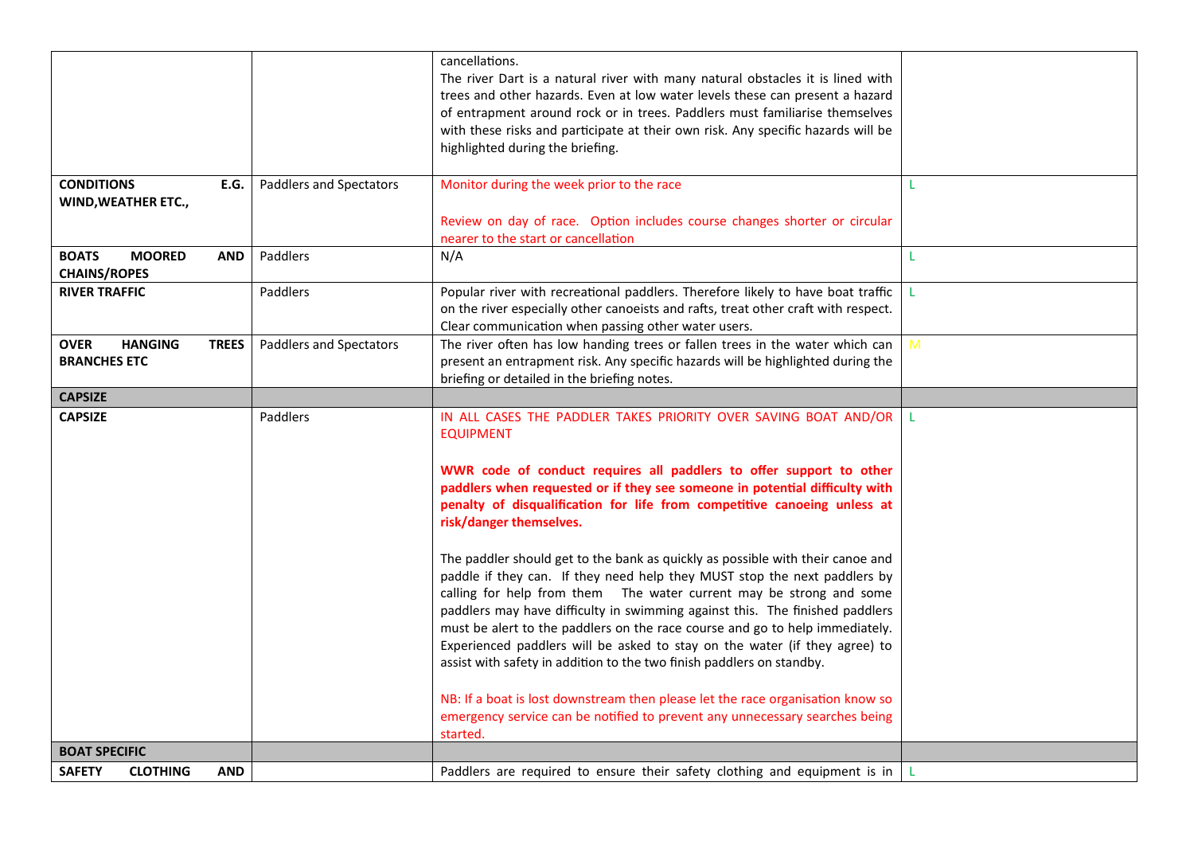|                                                                      |                                | cancellations.                                                                                                                                                                                                                                                                                                                                                                                                                                                                                                                                             |    |
|----------------------------------------------------------------------|--------------------------------|------------------------------------------------------------------------------------------------------------------------------------------------------------------------------------------------------------------------------------------------------------------------------------------------------------------------------------------------------------------------------------------------------------------------------------------------------------------------------------------------------------------------------------------------------------|----|
|                                                                      |                                | The river Dart is a natural river with many natural obstacles it is lined with<br>trees and other hazards. Even at low water levels these can present a hazard<br>of entrapment around rock or in trees. Paddlers must familiarise themselves<br>with these risks and participate at their own risk. Any specific hazards will be<br>highlighted during the briefing.                                                                                                                                                                                      |    |
| <b>CONDITIONS</b><br>E.G.                                            | <b>Paddlers and Spectators</b> | Monitor during the week prior to the race                                                                                                                                                                                                                                                                                                                                                                                                                                                                                                                  |    |
| WIND, WEATHER ETC.,                                                  |                                |                                                                                                                                                                                                                                                                                                                                                                                                                                                                                                                                                            |    |
|                                                                      |                                | Review on day of race. Option includes course changes shorter or circular<br>nearer to the start or cancellation                                                                                                                                                                                                                                                                                                                                                                                                                                           |    |
| <b>MOORED</b><br><b>BOATS</b><br><b>AND</b><br><b>CHAINS/ROPES</b>   | Paddlers                       | N/A                                                                                                                                                                                                                                                                                                                                                                                                                                                                                                                                                        | L  |
| <b>RIVER TRAFFIC</b>                                                 | Paddlers                       | Popular river with recreational paddlers. Therefore likely to have boat traffic<br>on the river especially other canoeists and rafts, treat other craft with respect.<br>Clear communication when passing other water users.                                                                                                                                                                                                                                                                                                                               |    |
| <b>OVER</b><br><b>HANGING</b><br><b>TREES</b><br><b>BRANCHES ETC</b> | Paddlers and Spectators        | The river often has low handing trees or fallen trees in the water which can<br>present an entrapment risk. Any specific hazards will be highlighted during the<br>briefing or detailed in the briefing notes.                                                                                                                                                                                                                                                                                                                                             | M  |
| <b>CAPSIZE</b>                                                       |                                |                                                                                                                                                                                                                                                                                                                                                                                                                                                                                                                                                            |    |
| <b>CAPSIZE</b>                                                       | Paddlers                       | IN ALL CASES THE PADDLER TAKES PRIORITY OVER SAVING BOAT AND/OR<br><b>EQUIPMENT</b>                                                                                                                                                                                                                                                                                                                                                                                                                                                                        | Т. |
|                                                                      |                                | WWR code of conduct requires all paddlers to offer support to other<br>paddlers when requested or if they see someone in potential difficulty with<br>penalty of disqualification for life from competitive canoeing unless at<br>risk/danger themselves.                                                                                                                                                                                                                                                                                                  |    |
|                                                                      |                                | The paddler should get to the bank as quickly as possible with their canoe and<br>paddle if they can. If they need help they MUST stop the next paddlers by<br>calling for help from them  The water current may be strong and some<br>paddlers may have difficulty in swimming against this. The finished paddlers<br>must be alert to the paddlers on the race course and go to help immediately.<br>Experienced paddlers will be asked to stay on the water (if they agree) to<br>assist with safety in addition to the two finish paddlers on standby. |    |
|                                                                      |                                | NB: If a boat is lost downstream then please let the race organisation know so<br>emergency service can be notified to prevent any unnecessary searches being<br>started.                                                                                                                                                                                                                                                                                                                                                                                  |    |
| <b>BOAT SPECIFIC</b>                                                 |                                |                                                                                                                                                                                                                                                                                                                                                                                                                                                                                                                                                            |    |
| <b>CLOTHING</b><br><b>SAFETY</b><br><b>AND</b>                       |                                | Paddlers are required to ensure their safety clothing and equipment is in                                                                                                                                                                                                                                                                                                                                                                                                                                                                                  |    |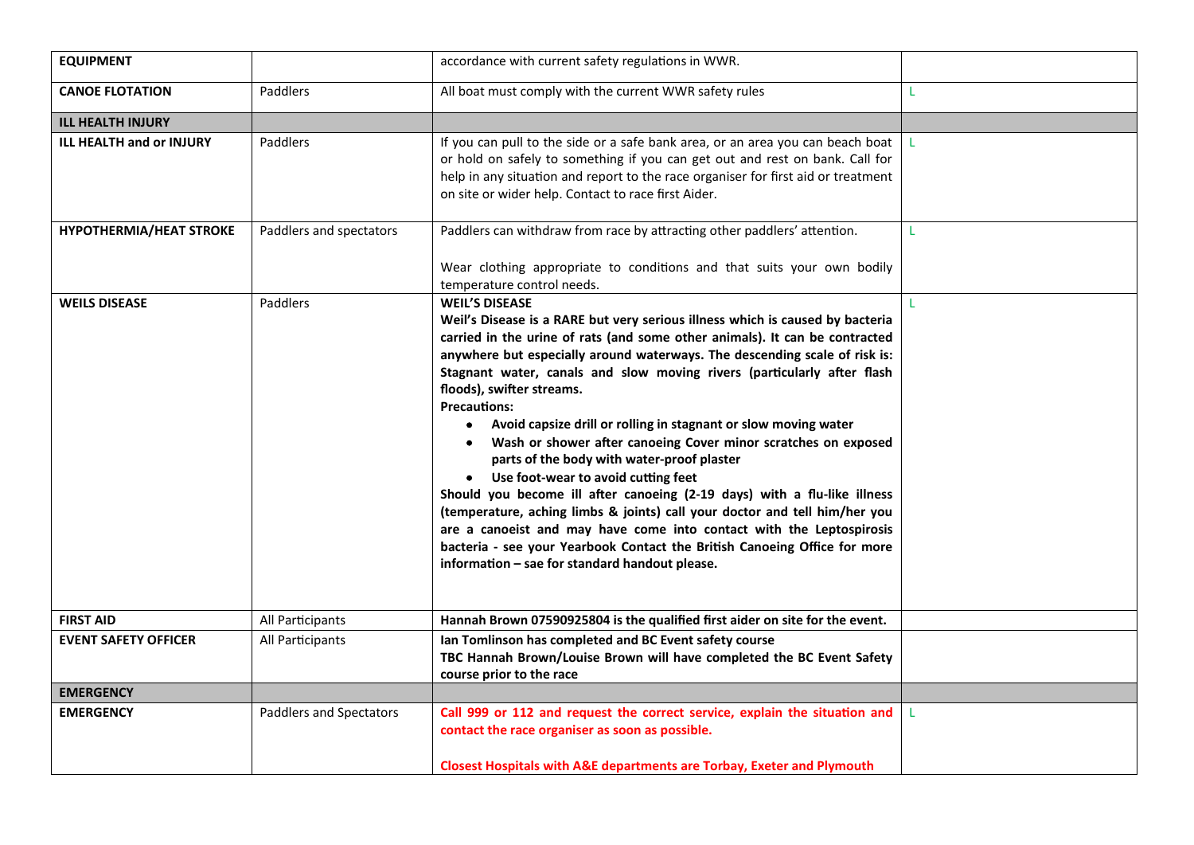| <b>EQUIPMENT</b>                |                         | accordance with current safety regulations in WWR.                                                                                                                                                                                                                                                                                                                                                                                                                                                                                                                                                                                                                                                                                                                                                                                                                                                                                                                                                                        |              |
|---------------------------------|-------------------------|---------------------------------------------------------------------------------------------------------------------------------------------------------------------------------------------------------------------------------------------------------------------------------------------------------------------------------------------------------------------------------------------------------------------------------------------------------------------------------------------------------------------------------------------------------------------------------------------------------------------------------------------------------------------------------------------------------------------------------------------------------------------------------------------------------------------------------------------------------------------------------------------------------------------------------------------------------------------------------------------------------------------------|--------------|
| <b>CANOE FLOTATION</b>          | Paddlers                | All boat must comply with the current WWR safety rules                                                                                                                                                                                                                                                                                                                                                                                                                                                                                                                                                                                                                                                                                                                                                                                                                                                                                                                                                                    | L            |
| <b>ILL HEALTH INJURY</b>        |                         |                                                                                                                                                                                                                                                                                                                                                                                                                                                                                                                                                                                                                                                                                                                                                                                                                                                                                                                                                                                                                           |              |
| <b>ILL HEALTH and or INJURY</b> | Paddlers                | If you can pull to the side or a safe bank area, or an area you can beach boat<br>or hold on safely to something if you can get out and rest on bank. Call for<br>help in any situation and report to the race organiser for first aid or treatment<br>on site or wider help. Contact to race first Aider.                                                                                                                                                                                                                                                                                                                                                                                                                                                                                                                                                                                                                                                                                                                | $\mathbf{L}$ |
| <b>HYPOTHERMIA/HEAT STROKE</b>  | Paddlers and spectators | Paddlers can withdraw from race by attracting other paddlers' attention.                                                                                                                                                                                                                                                                                                                                                                                                                                                                                                                                                                                                                                                                                                                                                                                                                                                                                                                                                  | т.           |
|                                 |                         | Wear clothing appropriate to conditions and that suits your own bodily<br>temperature control needs.                                                                                                                                                                                                                                                                                                                                                                                                                                                                                                                                                                                                                                                                                                                                                                                                                                                                                                                      |              |
| <b>WEILS DISEASE</b>            | Paddlers                | <b>WEIL'S DISEASE</b><br>Weil's Disease is a RARE but very serious illness which is caused by bacteria<br>carried in the urine of rats (and some other animals). It can be contracted<br>anywhere but especially around waterways. The descending scale of risk is:<br>Stagnant water, canals and slow moving rivers (particularly after flash<br>floods), swifter streams.<br><b>Precautions:</b><br>Avoid capsize drill or rolling in stagnant or slow moving water<br>$\bullet$<br>Wash or shower after canoeing Cover minor scratches on exposed<br>$\bullet$<br>parts of the body with water-proof plaster<br>• Use foot-wear to avoid cutting feet<br>Should you become ill after canoeing (2-19 days) with a flu-like illness<br>(temperature, aching limbs & joints) call your doctor and tell him/her you<br>are a canoeist and may have come into contact with the Leptospirosis<br>bacteria - see your Yearbook Contact the British Canoeing Office for more<br>information - sae for standard handout please. | L            |
| <b>FIRST AID</b>                | All Participants        | Hannah Brown 07590925804 is the qualified first aider on site for the event.                                                                                                                                                                                                                                                                                                                                                                                                                                                                                                                                                                                                                                                                                                                                                                                                                                                                                                                                              |              |
| <b>EVENT SAFETY OFFICER</b>     | All Participants        | Ian Tomlinson has completed and BC Event safety course<br>TBC Hannah Brown/Louise Brown will have completed the BC Event Safety<br>course prior to the race                                                                                                                                                                                                                                                                                                                                                                                                                                                                                                                                                                                                                                                                                                                                                                                                                                                               |              |
| <b>EMERGENCY</b>                |                         |                                                                                                                                                                                                                                                                                                                                                                                                                                                                                                                                                                                                                                                                                                                                                                                                                                                                                                                                                                                                                           |              |
| <b>EMERGENCY</b>                | Paddlers and Spectators | Call 999 or 112 and request the correct service, explain the situation and<br>contact the race organiser as soon as possible.<br><b>Closest Hospitals with A&amp;E departments are Torbay, Exeter and Plymouth</b>                                                                                                                                                                                                                                                                                                                                                                                                                                                                                                                                                                                                                                                                                                                                                                                                        | L            |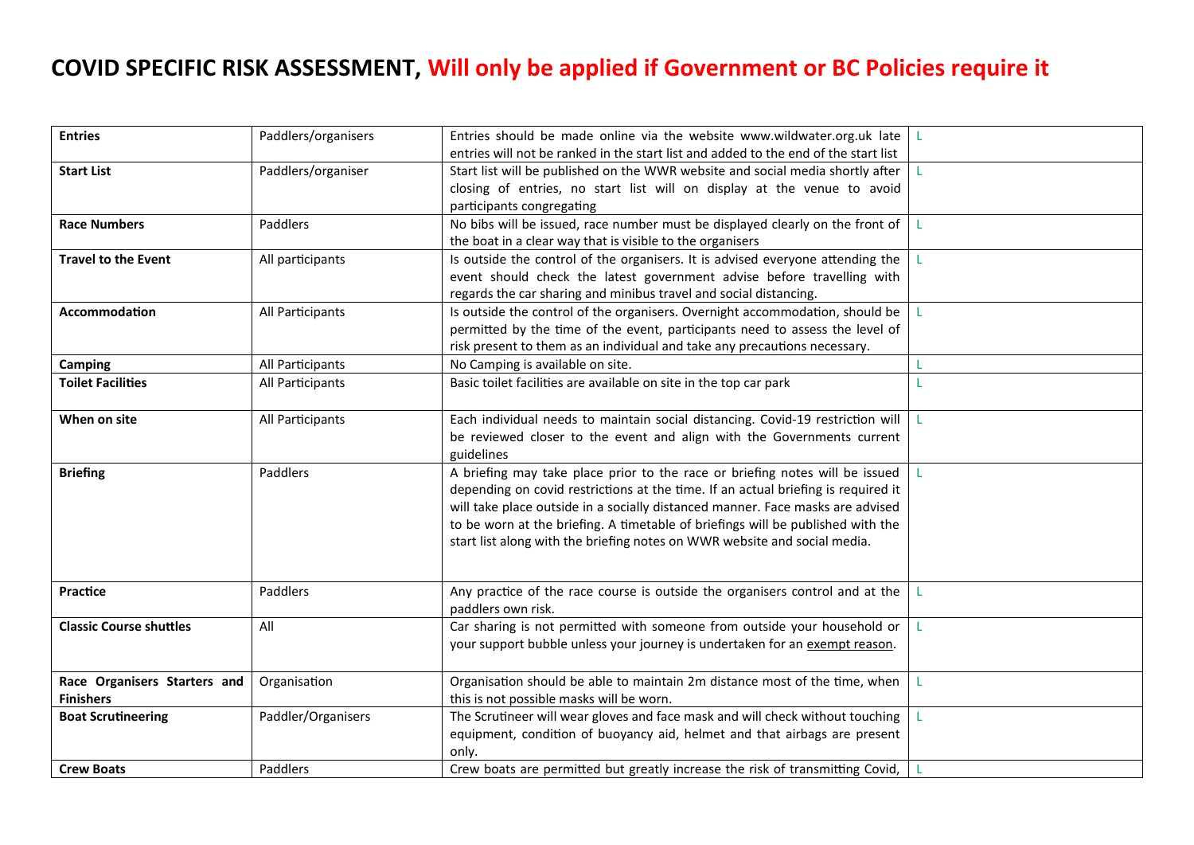## **COVID SPECIFIC RISK ASSESSMENT, Will only be applied if Government or BC Policies require it**

| <b>Entries</b>                 | Paddlers/organisers | Entries should be made online via the website www.wildwater.org.uk late $\vert$ L   |    |
|--------------------------------|---------------------|-------------------------------------------------------------------------------------|----|
|                                |                     | entries will not be ranked in the start list and added to the end of the start list |    |
| <b>Start List</b>              | Paddlers/organiser  | Start list will be published on the WWR website and social media shortly after      |    |
|                                |                     | closing of entries, no start list will on display at the venue to avoid             |    |
|                                |                     | participants congregating                                                           |    |
| <b>Race Numbers</b>            | Paddlers            | No bibs will be issued, race number must be displayed clearly on the front of       | L  |
|                                |                     | the boat in a clear way that is visible to the organisers                           |    |
| <b>Travel to the Event</b>     | All participants    | Is outside the control of the organisers. It is advised everyone attending the      | т. |
|                                |                     | event should check the latest government advise before travelling with              |    |
|                                |                     | regards the car sharing and minibus travel and social distancing.                   |    |
| Accommodation                  | All Participants    | Is outside the control of the organisers. Overnight accommodation, should be        | L  |
|                                |                     | permitted by the time of the event, participants need to assess the level of        |    |
|                                |                     | risk present to them as an individual and take any precautions necessary.           |    |
| <b>Camping</b>                 | All Participants    | No Camping is available on site.                                                    | L  |
| <b>Toilet Facilities</b>       | All Participants    | Basic toilet facilities are available on site in the top car park                   | T  |
|                                |                     |                                                                                     |    |
| When on site                   | All Participants    | Each individual needs to maintain social distancing. Covid-19 restriction will      |    |
|                                |                     | be reviewed closer to the event and align with the Governments current              |    |
|                                |                     | guidelines                                                                          |    |
| <b>Briefing</b>                | Paddlers            | A briefing may take place prior to the race or briefing notes will be issued        |    |
|                                |                     | depending on covid restrictions at the time. If an actual briefing is required it   |    |
|                                |                     | will take place outside in a socially distanced manner. Face masks are advised      |    |
|                                |                     | to be worn at the briefing. A timetable of briefings will be published with the     |    |
|                                |                     | start list along with the briefing notes on WWR website and social media.           |    |
|                                |                     |                                                                                     |    |
| Practice                       | Paddlers            | Any practice of the race course is outside the organisers control and at the        | L  |
|                                |                     | paddlers own risk.                                                                  |    |
| <b>Classic Course shuttles</b> | All                 | Car sharing is not permitted with someone from outside your household or            | L  |
|                                |                     | your support bubble unless your journey is undertaken for an exempt reason.         |    |
|                                |                     |                                                                                     |    |
| Race Organisers Starters and   | Organisation        | Organisation should be able to maintain 2m distance most of the time, when          |    |
| <b>Finishers</b>               |                     | this is not possible masks will be worn.                                            |    |
| <b>Boat Scrutineering</b>      | Paddler/Organisers  | The Scrutineer will wear gloves and face mask and will check without touching       |    |
|                                |                     | equipment, condition of buoyancy aid, helmet and that airbags are present           |    |
|                                |                     | only.                                                                               |    |
| <b>Crew Boats</b>              | Paddlers            | Crew boats are permitted but greatly increase the risk of transmitting Covid,       |    |
|                                |                     |                                                                                     |    |